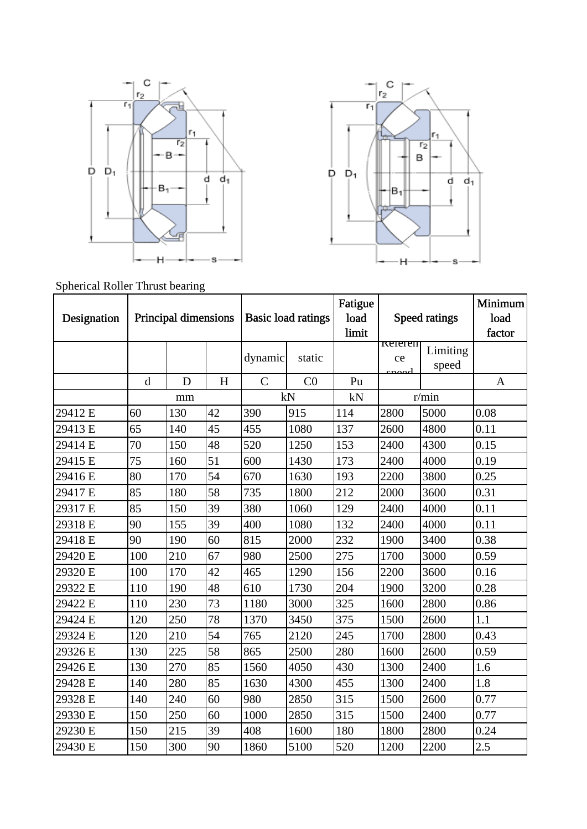



Spherical Roller Thrust bearing

| Designation | Principal dimensions |     |    | <b>Basic load ratings</b> |        | Fatigue<br>load<br>limit | Speed ratings |                   | Minimum<br>load<br>factor |
|-------------|----------------------|-----|----|---------------------------|--------|--------------------------|---------------|-------------------|---------------------------|
|             |                      |     |    | dynamic                   | static |                          | keieren<br>ce | Limiting<br>speed |                           |
|             | $\mathbf d$          | D   | H  | $\mathsf{C}$              | CO     | Pu                       |               |                   | A                         |
|             | mm                   |     | kN |                           | kN     | r/min                    |               |                   |                           |
| 29412 E     | 60                   | 130 | 42 | 390                       | 915    | 114                      | 2800          | 5000              | 0.08                      |
| 29413 E     | 65                   | 140 | 45 | 455                       | 1080   | 137                      | 2600          | 4800              | 0.11                      |
| 29414 E     | 70                   | 150 | 48 | 520                       | 1250   | 153                      | 2400          | 4300              | 0.15                      |
| 29415 E     | 75                   | 160 | 51 | 600                       | 1430   | 173                      | 2400          | 4000              | 0.19                      |
| 29416 E     | 80                   | 170 | 54 | 670                       | 1630   | 193                      | 2200          | 3800              | 0.25                      |
| 29417 E     | 85                   | 180 | 58 | 735                       | 1800   | 212                      | 2000          | 3600              | 0.31                      |
| 29317 E     | 85                   | 150 | 39 | 380                       | 1060   | 129                      | 2400          | 4000              | 0.11                      |
| 29318 E     | 90                   | 155 | 39 | 400                       | 1080   | 132                      | 2400          | 4000              | 0.11                      |
| 29418 E     | 90                   | 190 | 60 | 815                       | 2000   | 232                      | 1900          | 3400              | 0.38                      |
| 29420 E     | 100                  | 210 | 67 | 980                       | 2500   | 275                      | 1700          | 3000              | 0.59                      |
| 29320 E     | 100                  | 170 | 42 | 465                       | 1290   | 156                      | 2200          | 3600              | 0.16                      |
| 29322 E     | 110                  | 190 | 48 | 610                       | 1730   | 204                      | 1900          | 3200              | 0.28                      |
| 29422 E     | 110                  | 230 | 73 | 1180                      | 3000   | 325                      | 1600          | 2800              | 0.86                      |
| 29424 E     | 120                  | 250 | 78 | 1370                      | 3450   | 375                      | 1500          | 2600              | 1.1                       |
| 29324 E     | 120                  | 210 | 54 | 765                       | 2120   | 245                      | 1700          | 2800              | 0.43                      |
| 29326 E     | 130                  | 225 | 58 | 865                       | 2500   | 280                      | 1600          | 2600              | 0.59                      |
| 29426 E     | 130                  | 270 | 85 | 1560                      | 4050   | 430                      | 1300          | 2400              | 1.6                       |
| 29428 E     | 140                  | 280 | 85 | 1630                      | 4300   | 455                      | 1300          | 2400              | 1.8                       |
| 29328 E     | 140                  | 240 | 60 | 980                       | 2850   | 315                      | 1500          | 2600              | 0.77                      |
| 29330 E     | 150                  | 250 | 60 | 1000                      | 2850   | 315                      | 1500          | 2400              | 0.77                      |
| 29230 E     | 150                  | 215 | 39 | 408                       | 1600   | 180                      | 1800          | 2800              | 0.24                      |
| 29430 E     | 150                  | 300 | 90 | 1860                      | 5100   | 520                      | 1200          | 2200              | 2.5                       |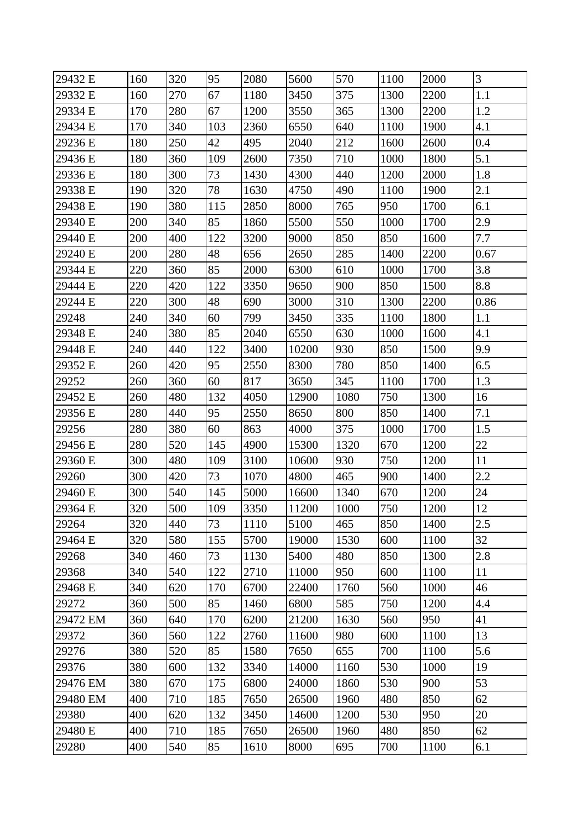| 29432 E  | 160 | 320 | 95  | 2080 | 5600  | 570  | 1100 | 2000 | 3    |
|----------|-----|-----|-----|------|-------|------|------|------|------|
| 29332 E  | 160 | 270 | 67  | 1180 | 3450  | 375  | 1300 | 2200 | 1.1  |
| 29334 E  | 170 | 280 | 67  | 1200 | 3550  | 365  | 1300 | 2200 | 1.2  |
| 29434 E  | 170 | 340 | 103 | 2360 | 6550  | 640  | 1100 | 1900 | 4.1  |
| 29236 E  | 180 | 250 | 42  | 495  | 2040  | 212  | 1600 | 2600 | 0.4  |
| 29436 E  | 180 | 360 | 109 | 2600 | 7350  | 710  | 1000 | 1800 | 5.1  |
| 29336 E  | 180 | 300 | 73  | 1430 | 4300  | 440  | 1200 | 2000 | 1.8  |
| 29338 E  | 190 | 320 | 78  | 1630 | 4750  | 490  | 1100 | 1900 | 2.1  |
| 29438 E  | 190 | 380 | 115 | 2850 | 8000  | 765  | 950  | 1700 | 6.1  |
| 29340 E  | 200 | 340 | 85  | 1860 | 5500  | 550  | 1000 | 1700 | 2.9  |
| 29440 E  | 200 | 400 | 122 | 3200 | 9000  | 850  | 850  | 1600 | 7.7  |
| 29240 E  | 200 | 280 | 48  | 656  | 2650  | 285  | 1400 | 2200 | 0.67 |
| 29344 E  | 220 | 360 | 85  | 2000 | 6300  | 610  | 1000 | 1700 | 3.8  |
| 29444 E  | 220 | 420 | 122 | 3350 | 9650  | 900  | 850  | 1500 | 8.8  |
| 29244 E  | 220 | 300 | 48  | 690  | 3000  | 310  | 1300 | 2200 | 0.86 |
| 29248    | 240 | 340 | 60  | 799  | 3450  | 335  | 1100 | 1800 | 1.1  |
| 29348 E  | 240 | 380 | 85  | 2040 | 6550  | 630  | 1000 | 1600 | 4.1  |
| 29448 E  | 240 | 440 | 122 | 3400 | 10200 | 930  | 850  | 1500 | 9.9  |
| 29352 E  | 260 | 420 | 95  | 2550 | 8300  | 780  | 850  | 1400 | 6.5  |
| 29252    | 260 | 360 | 60  | 817  | 3650  | 345  | 1100 | 1700 | 1.3  |
| 29452 E  | 260 | 480 | 132 | 4050 | 12900 | 1080 | 750  | 1300 | 16   |
| 29356 E  | 280 | 440 | 95  | 2550 | 8650  | 800  | 850  | 1400 | 7.1  |
| 29256    | 280 | 380 | 60  | 863  | 4000  | 375  | 1000 | 1700 | 1.5  |
| 29456 E  | 280 | 520 | 145 | 4900 | 15300 | 1320 | 670  | 1200 | 22   |
| 29360 E  | 300 | 480 | 109 | 3100 | 10600 | 930  | 750  | 1200 | 11   |
| 29260    | 300 | 420 | 73  | 1070 | 4800  | 465  | 900  | 1400 | 2.2  |
| 29460 E  | 300 | 540 | 145 | 5000 | 16600 | 1340 | 670  | 1200 | 24   |
| 29364 E  | 320 | 500 | 109 | 3350 | 11200 | 1000 | 750  | 1200 | 12   |
| 29264    | 320 | 440 | 73  | 1110 | 5100  | 465  | 850  | 1400 | 2.5  |
| 29464 E  | 320 | 580 | 155 | 5700 | 19000 | 1530 | 600  | 1100 | 32   |
| 29268    | 340 | 460 | 73  | 1130 | 5400  | 480  | 850  | 1300 | 2.8  |
| 29368    | 340 | 540 | 122 | 2710 | 11000 | 950  | 600  | 1100 | 11   |
| 29468 E  | 340 | 620 | 170 | 6700 | 22400 | 1760 | 560  | 1000 | 46   |
| 29272    | 360 | 500 | 85  | 1460 | 6800  | 585  | 750  | 1200 | 4.4  |
| 29472 EM | 360 | 640 | 170 | 6200 | 21200 | 1630 | 560  | 950  | 41   |
| 29372    | 360 | 560 | 122 | 2760 | 11600 | 980  | 600  | 1100 | 13   |
| 29276    | 380 | 520 | 85  | 1580 | 7650  | 655  | 700  | 1100 | 5.6  |
| 29376    | 380 | 600 | 132 | 3340 | 14000 | 1160 | 530  | 1000 | 19   |
| 29476 EM | 380 | 670 | 175 | 6800 | 24000 | 1860 | 530  | 900  | 53   |
| 29480 EM | 400 | 710 | 185 | 7650 | 26500 | 1960 | 480  | 850  | 62   |
| 29380    | 400 | 620 | 132 | 3450 | 14600 | 1200 | 530  | 950  | 20   |
| 29480 E  | 400 | 710 | 185 | 7650 | 26500 | 1960 | 480  | 850  | 62   |
| 29280    | 400 | 540 | 85  | 1610 | 8000  | 695  | 700  | 1100 | 6.1  |